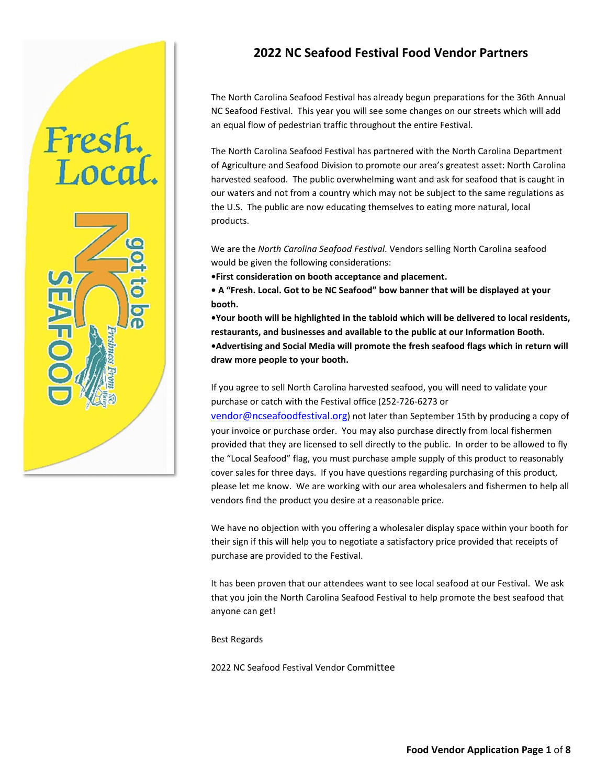# **2022 NC Seafood Festival Food Vendor Partners**

The North Carolina Seafood Festival has already begun preparations for the 36th Annual NC Seafood Festival. This year you will see some changes on our streets which will add an equal flow of pedestrian traffic throughout the entire Festival.

The North Carolina Seafood Festival has partnered with the North Carolina Department of Agriculture and Seafood Division to promote our area's greatest asset: North Carolina harvested seafood. The public overwhelming want and ask for seafood that is caught in our waters and not from a country which may not be subject to the same regulations as the U.S. The public are now educating themselves to eating more natural, local products.

We are the *North Carolina Seafood Festival*. Vendors selling North Carolina seafood would be given the following considerations:

**•First consideration on booth acceptance and placement.**

**• A "Fresh. Local. Got to be NC Seafood" bow banner that will be displayed at your booth.**

**•Your booth will be highlighted in the tabloid which will be delivered to local residents, restaurants, and businesses and available to the public at our Information Booth. •Advertising and Social Media will promote the fresh seafood flags which in return will draw more people to your booth.**

If you agree to sell North Carolina harvested seafood, you will need to validate your purchase or catch with the Festival office (252-726-6273 or

[vendor@ncseafoodfestival.org\)](mailto:vendor@ncseafoodfestival.org) not later than September 15th by producing a copy of your invoice or purchase order. You may also purchase directly from local fishermen provided that they are licensed to sell directly to the public. In order to be allowed to fly the "Local Seafood" flag, you must purchase ample supply of this product to reasonably cover sales for three days. If you have questions regarding purchasing of this product, please let me know. We are working with our area wholesalers and fishermen to help all vendors find the product you desire at a reasonable price.

We have no objection with you offering a wholesaler display space within your booth for their sign if this will help you to negotiate a satisfactory price provided that receipts of purchase are provided to the Festival.

It has been proven that our attendees want to see local seafood at our Festival. We ask that you join the North Carolina Seafood Festival to help promote the best seafood that anyone can get!

Best Regards

Fresh.<br>Local.

2022 NC Seafood Festival Vendor Committee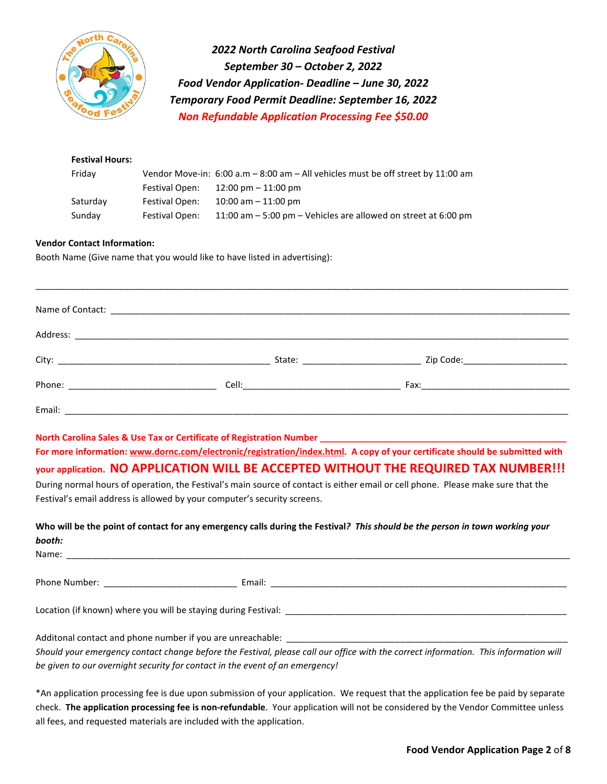

*2022 North Carolina Seafood Festival September 30 – October 2, 2022 Food Vendor Application- Deadline – June 30, 2022 Temporary Food Permit Deadline: September 16, 2022 Non Refundable Application Processing Fee \$50.00* 

| <b>Festival Hours:</b> |                |                                                                                       |
|------------------------|----------------|---------------------------------------------------------------------------------------|
| Fridav                 |                | Vendor Move-in: $6:00$ a.m $-8:00$ am $-$ All vehicles must be off street by 11:00 am |
|                        | Festival Open: | 12:00 pm – 11:00 pm                                                                   |
| Saturday               | Festival Open: | $10:00$ am $-11:00$ pm                                                                |
| Sunday                 | Festival Open: | 11:00 am - 5:00 pm - Vehicles are allowed on street at 6:00 pm                        |

#### **Vendor Contact Information:**

Booth Name (Give name that you would like to have listed in advertising):

|        | Zip Code:________________________ |
|--------|-----------------------------------|
|        |                                   |
| Email: |                                   |

\_\_\_\_\_\_\_\_\_\_\_\_\_\_\_\_\_\_\_\_\_\_\_\_\_\_\_\_\_\_\_\_\_\_\_\_\_\_\_\_\_\_\_\_\_\_\_\_\_\_\_\_\_\_\_\_\_\_\_\_\_\_\_\_\_\_\_\_\_\_\_\_\_\_\_\_\_\_\_\_\_\_\_\_\_\_\_\_\_\_\_\_\_\_\_\_\_\_\_\_\_\_\_\_\_\_\_\_

**North Carolina Sales & Use Tax or Certificate of Registration Number \_\_\_\_** 

**For more information: [www.dornc.com/electronic/registration/index.html.](http://www.dornc.com/electronic/registration/index.html) A copy of your certificate should be submitted with your application. NO APPLICATION WILL BE ACCEPTED WITHOUT THE REQUIRED TAX NUMBER!!!**

During normal hours of operation, the Festival's main source of contact is either email or cell phone. Please make sure that the Festival's email address is allowed by your computer's security screens.

| booth:<br>Name: Name:                                                        | Who will be the point of contact for any emergency calls during the Festival? This should be the person in town working your         |
|------------------------------------------------------------------------------|--------------------------------------------------------------------------------------------------------------------------------------|
|                                                                              |                                                                                                                                      |
|                                                                              | Location (if known) where you will be staying during Festival:                                                                       |
| be given to our overnight security for contact in the event of an emergency! | Should your emergency contact change before the Festival, please call our office with the correct information. This information will |

\*An application processing fee is due upon submission of your application. We request that the application fee be paid by separate check. **The application processing fee is non-refundable**. Your application will not be considered by the Vendor Committee unless all fees, and requested materials are included with the application.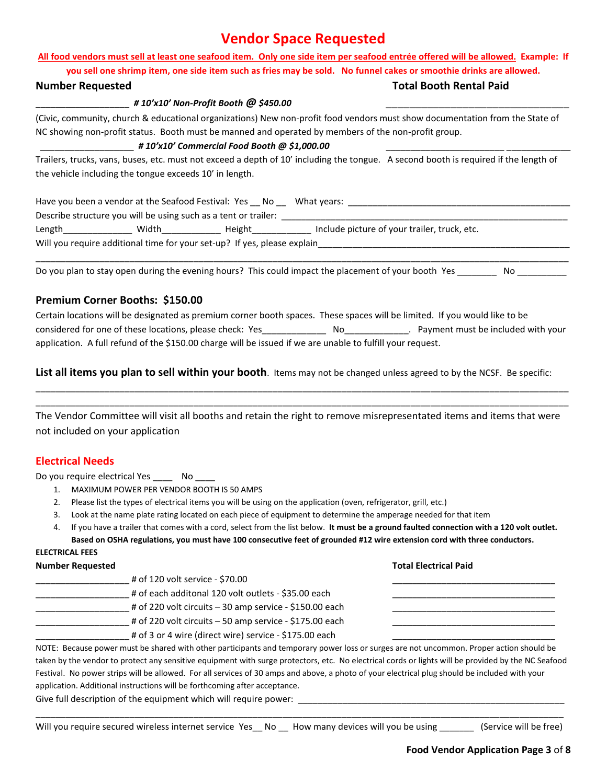# **Vendor Space Requested**

# **All food vendors must sell at least one seafood item. Only one side item per seafood entrée offered will be allowed. Example: If**

**you sell one shrimp item, one side item such as fries may be sold. No funnel cakes or smoothie drinks are allowed.** 

### \_\_\_\_\_\_\_\_\_\_\_\_\_\_\_\_\_\_\_ *# 10'x10' Non-Profit Booth @ \$450.00* \_\_\_\_\_\_\_\_\_\_\_\_\_\_\_\_\_\_\_\_\_\_\_\_\_\_\_\_\_\_\_

(Civic, community, church & educational organizations) New non-profit food vendors must show documentation from the State of NC showing non-profit status. Booth must be manned and operated by members of the non-profit group.

### \_\_\_\_\_\_\_\_\_\_\_\_\_\_\_\_\_\_\_ *# 10'x10' Commercial Food Booth @ \$1,000.00* \_\_\_\_\_\_\_\_\_\_\_\_\_\_\_\_\_\_\_\_\_\_\_\_ \_\_\_\_\_\_\_\_\_\_\_\_\_

Trailers, trucks, vans, buses, etc. must not exceed a depth of 10' including the tongue. A second booth is required if the length of the vehicle including the tongue exceeds 10' in length.

| Have you been a vendor at the Seafood Festival: Yes No                   |       |        | What years:                                  |
|--------------------------------------------------------------------------|-------|--------|----------------------------------------------|
| Describe structure you will be using such as a tent or trailer:          |       |        |                                              |
| Length                                                                   | Width | Height | Include picture of your trailer, truck, etc. |
| Will you require additional time for your set-up? If yes, please explain |       |        |                                              |

\_\_\_\_\_\_\_\_\_\_\_\_\_\_\_\_\_\_\_\_\_\_\_\_\_\_\_\_\_\_\_\_\_\_\_\_\_\_\_\_\_\_\_\_\_\_\_\_\_\_\_\_\_\_\_\_\_\_\_\_\_\_\_\_\_\_\_\_\_\_\_\_\_\_\_\_\_\_\_\_\_\_\_\_\_\_\_\_\_\_\_\_\_\_\_\_\_\_\_\_\_\_\_\_\_\_\_\_

Do you plan to stay open during the evening hours? This could impact the placement of your booth Yes **No Languila** 

### **Premium Corner Booths: \$150.00**

Certain locations will be designated as premium corner booth spaces. These spaces will be limited. If you would like to be considered for one of these locations, please check: Yes\_\_\_\_\_\_\_\_\_\_\_\_\_ No\_\_\_\_\_\_\_\_\_\_\_\_\_. Payment must be included with your application. A full refund of the \$150.00 charge will be issued if we are unable to fulfill your request.

**List all items you plan to sell within your booth**. Items may not be changed unless agreed to by the NCSF. Be specific:

The Vendor Committee will visit all booths and retain the right to remove misrepresentated items and items that were not included on your application

\_\_\_\_\_\_\_\_\_\_\_\_\_\_\_\_\_\_\_\_\_\_\_\_\_\_\_\_\_\_\_\_\_\_\_\_\_\_\_\_\_\_\_\_\_\_\_\_\_\_\_\_\_\_\_\_\_\_\_\_\_\_\_\_\_\_\_\_\_\_\_\_\_\_\_\_\_\_\_\_\_\_\_\_\_\_\_\_\_\_\_\_\_\_\_\_\_\_\_\_\_\_\_\_\_\_\_\_ \_\_\_\_\_\_\_\_\_\_\_\_\_\_\_\_\_\_\_\_\_\_\_\_\_\_\_\_\_\_\_\_\_\_\_\_\_\_\_\_\_\_\_\_\_\_\_\_\_\_\_\_\_\_\_\_\_\_\_\_\_\_\_\_\_\_\_\_\_\_\_\_\_\_\_\_\_\_\_\_\_\_\_\_\_\_\_\_\_\_\_\_\_\_\_\_\_\_\_\_\_\_\_\_\_\_\_\_

### **Electrical Needs**

Do you require electrical Yes \_\_\_\_\_\_ No \_\_\_

- 1. MAXIMUM POWER PER VENDOR BOOTH IS 50 AMPS
- 2. Please list the types of electrical items you will be using on the application (oven, refrigerator, grill, etc.)
- 3. Look at the name plate rating located on each piece of equipment to determine the amperage needed for that item
- 4. If you have a trailer that comes with a cord, select from the list below. **It must be a ground faulted connection with a 120 volt outlet.**

# **Based on OSHA regulations, you must have 100 consecutive feet of grounded #12 wire extension cord with three conductors. ELECTRICAL FEES Number Requested Total Electrical Paid** \_\_\_\_\_\_\_\_\_\_\_\_\_\_\_\_\_\_\_ # of 120 volt service - \$70.00 \_\_\_\_\_\_\_\_\_\_\_\_\_\_\_\_\_\_\_\_\_\_\_\_\_\_\_\_\_\_\_\_\_  $\frac{1}{2}$  # of each additonal 120 volt outlets - \$35.00 each # of 220 volt circuits – 30 amp service - \$150.00 each  $\equiv$  # of 220 volt circuits – 50 amp service - \$175.00 each # of 3 or 4 wire (direct wire) service - \$175.00 each NOTE: Because power must be shared with other participants and temporary power loss or surges are not uncommon. Proper action should be

taken by the vendor to protect any sensitive equipment with surge protectors, etc. No electrical cords or lights will be provided by the NC Seafood Festival. No power strips will be allowed. For all services of 30 amps and above, a photo of your electrical plug should be included with your application. Additional instructions will be forthcoming after acceptance.

Give full description of the equipment which will require power:

Will you require secured wireless internet service Yes\_ No \_ How many devices will you be using \_\_\_\_\_\_\_ (Service will be free)

\_\_\_\_\_\_\_\_\_\_\_\_\_\_\_\_\_\_\_\_\_\_\_\_\_\_\_\_\_\_\_\_\_\_\_\_\_\_\_\_\_\_\_\_\_\_\_\_\_\_\_\_\_\_\_\_\_\_\_\_\_\_\_\_\_\_\_\_\_\_\_\_\_\_\_\_\_\_\_\_\_\_\_\_\_\_\_\_\_\_\_\_\_\_\_\_\_\_\_\_\_\_\_\_\_\_\_

**Number Requested Total Booth Rental Paid**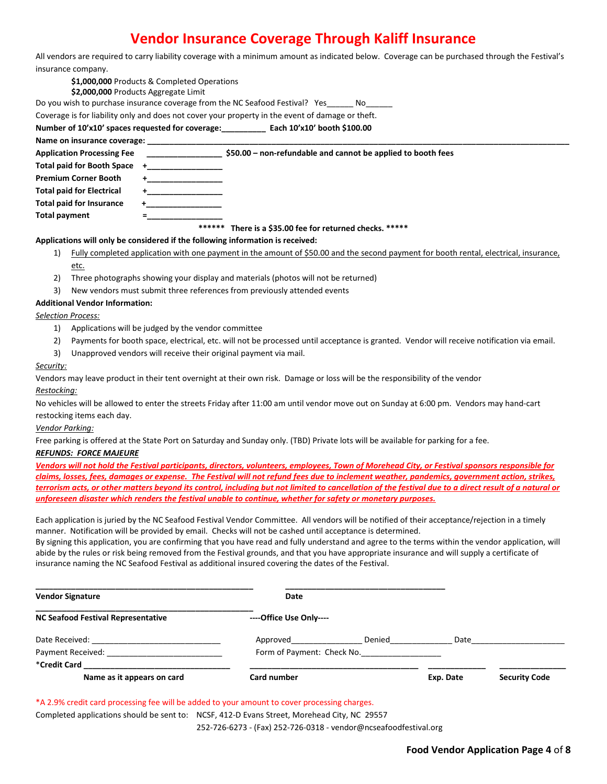# **Vendor Insurance Coverage Through Kaliff Insurance**

| All vendors are required to carry liability coverage with a minimum amount as indicated below. Coverage can be purchased through the Festival's |  |
|-------------------------------------------------------------------------------------------------------------------------------------------------|--|
| insurance company.                                                                                                                              |  |

|                                  | \$1,000,000 Products & Completed Operations<br>\$2,000,000 Products Aggregate Limit                                                   |  |  |  |
|----------------------------------|---------------------------------------------------------------------------------------------------------------------------------------|--|--|--|
|                                  | Do you wish to purchase insurance coverage from the NC Seafood Festival? Yes_______ No______                                          |  |  |  |
|                                  | Coverage is for liability only and does not cover your property in the event of damage or theft.                                      |  |  |  |
|                                  | Number of 10'x10' spaces requested for coverage: Each 10'x10' booth \$100.00                                                          |  |  |  |
| Name on insurance coverage:      |                                                                                                                                       |  |  |  |
|                                  | Application Processing Fee <b>Accord 1996 12-4 SEM</b> \$50.00 - non-refundable and cannot be applied to booth fees                   |  |  |  |
| Total paid for Booth Space       |                                                                                                                                       |  |  |  |
| Premium Corner Booth             |                                                                                                                                       |  |  |  |
| <b>Total paid for Electrical</b> |                                                                                                                                       |  |  |  |
| <b>Total paid for Insurance</b>  |                                                                                                                                       |  |  |  |
| Total payment                    |                                                                                                                                       |  |  |  |
|                                  | ******<br>There is a \$35.00 fee for returned checks. *****                                                                           |  |  |  |
|                                  | Applications will only be considered if the following information is received:                                                        |  |  |  |
| 1)                               | Fully completed application with one payment in the amount of \$50.00 and the second payment for booth rental, electrical, insurance, |  |  |  |
| etc.                             |                                                                                                                                       |  |  |  |
| 2)                               | Three photographs showing your display and materials (photos will not be returned)                                                    |  |  |  |

3) New vendors must submit three references from previously attended events

#### **Additional Vendor Information:**

#### *Selection Process:*

- 1) Applications will be judged by the vendor committee
- 2) Payments for booth space, electrical, etc. will not be processed until acceptance is granted. Vendor will receive notification via email.
- 3) Unapproved vendors will receive their original payment via mail.

#### *Security:*

Vendors may leave product in their tent overnight at their own risk. Damage or loss will be the responsibility of the vendor

#### *Restocking:*

No vehicles will be allowed to enter the streets Friday after 11:00 am until vendor move out on Sunday at 6:00 pm. Vendors may hand-cart restocking items each day.

#### *Vendor Parking:*

Free parking is offered at the State Port on Saturday and Sunday only. (TBD) Private lots will be available for parking for a fee.

#### *REFUNDS: FORCE MAJEURE*

*Vendors will not hold the Festival participants, directors, volunteers, employees, Town of Morehead City, or Festival sponsors responsible for claims, losses, fees, damages or expense. The Festival will not refund fees due to inclement weather, pandemics, government action, strikes, terrorism acts, or other matters beyond its control, including but not limited to cancellation of the festival due to a direct result of a natural or unforeseen disaster which renders the festival unable to continue, whether for safety or monetary purposes.* 

Each application is juried by the NC Seafood Festival Vendor Committee. All vendors will be notified of their acceptance/rejection in a timely manner. Notification will be provided by email. Checks will not be cashed until acceptance is determined.

By signing this application, you are confirming that you have read and fully understand and agree to the terms within the vendor application, will abide by the rules or risk being removed from the Festival grounds, and that you have appropriate insurance and will supply a certificate of insurance naming the NC Seafood Festival as additional insured covering the dates of the Festival.

| <b>Vendor Signature</b>                   | Date                       |        |           |                      |
|-------------------------------------------|----------------------------|--------|-----------|----------------------|
| <b>NC Seafood Festival Representative</b> | ----Office Use Only----    |        |           |                      |
| Date Received:                            | Approved                   | Denied | Date      |                      |
| Payment Received:                         | Form of Payment: Check No. |        |           |                      |
| *Credit Card                              |                            |        |           |                      |
| Name as it appears on card                | Card number                |        | Exp. Date | <b>Security Code</b> |

\*A 2.9% credit card processing fee will be added to your amount to cover processing charges.

Completed applications should be sent to: NCSF, 412-D Evans Street, Morehead City, NC 29557

252-726-6273 - (Fax) 252-726-0318 - vendor@ncseafoodfestival.org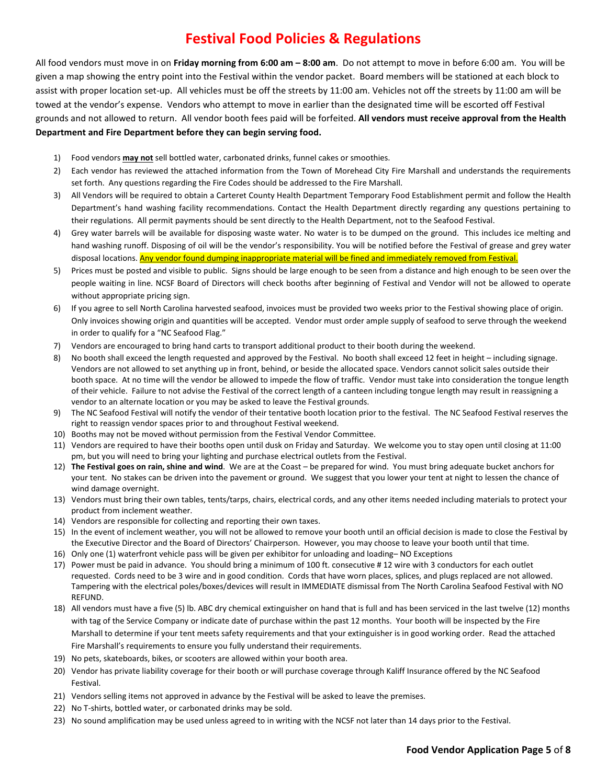# **Festival Food Policies & Regulations**

All food vendors must move in on **Friday morning from 6:00 am – 8:00 am**. Do not attempt to move in before 6:00 am. You will be given a map showing the entry point into the Festival within the vendor packet. Board members will be stationed at each block to assist with proper location set-up. All vehicles must be off the streets by 11:00 am. Vehicles not off the streets by 11:00 am will be towed at the vendor's expense. Vendors who attempt to move in earlier than the designated time will be escorted off Festival grounds and not allowed to return. All vendor booth fees paid will be forfeited. **All vendors must receive approval from the Health Department and Fire Department before they can begin serving food.** 

- 1) Food vendors **may not** sell bottled water, carbonated drinks, funnel cakes or smoothies.
- 2) Each vendor has reviewed the attached information from the Town of Morehead City Fire Marshall and understands the requirements set forth. Any questions regarding the Fire Codes should be addressed to the Fire Marshall.
- 3) All Vendors will be required to obtain a Carteret County Health Department Temporary Food Establishment permit and follow the Health Department's hand washing facility recommendations. Contact the Health Department directly regarding any questions pertaining to their regulations. All permit payments should be sent directly to the Health Department, not to the Seafood Festival.
- 4) Grey water barrels will be available for disposing waste water. No water is to be dumped on the ground. This includes ice melting and hand washing runoff. Disposing of oil will be the vendor's responsibility. You will be notified before the Festival of grease and grey water disposal locations. Any vendor found dumping inappropriate material will be fined and immediately removed from Festival.
- 5) Prices must be posted and visible to public. Signs should be large enough to be seen from a distance and high enough to be seen over the people waiting in line. NCSF Board of Directors will check booths after beginning of Festival and Vendor will not be allowed to operate without appropriate pricing sign.
- 6) If you agree to sell North Carolina harvested seafood, invoices must be provided two weeks prior to the Festival showing place of origin. Only invoices showing origin and quantities will be accepted. Vendor must order ample supply of seafood to serve through the weekend in order to qualify for a "NC Seafood Flag."
- 7) Vendors are encouraged to bring hand carts to transport additional product to their booth during the weekend.
- 8) No booth shall exceed the length requested and approved by the Festival. No booth shall exceed 12 feet in height including signage. Vendors are not allowed to set anything up in front, behind, or beside the allocated space. Vendors cannot solicit sales outside their booth space. At no time will the vendor be allowed to impede the flow of traffic. Vendor must take into consideration the tongue length of their vehicle. Failure to not advise the Festival of the correct length of a canteen including tongue length may result in reassigning a vendor to an alternate location or you may be asked to leave the Festival grounds.
- 9) The NC Seafood Festival will notify the vendor of their tentative booth location prior to the festival. The NC Seafood Festival reserves the right to reassign vendor spaces prior to and throughout Festival weekend.
- 10) Booths may not be moved without permission from the Festival Vendor Committee.
- 11) Vendors are required to have their booths open until dusk on Friday and Saturday. We welcome you to stay open until closing at 11:00 pm, but you will need to bring your lighting and purchase electrical outlets from the Festival.
- 12) **The Festival goes on rain, shine and wind**. We are at the Coast be prepared for wind. You must bring adequate bucket anchors for your tent. No stakes can be driven into the pavement or ground. We suggest that you lower your tent at night to lessen the chance of wind damage overnight.
- 13) Vendors must bring their own tables, tents/tarps, chairs, electrical cords, and any other items needed including materials to protect your product from inclement weather.
- 14) Vendors are responsible for collecting and reporting their own taxes.
- 15) In the event of inclement weather, you will not be allowed to remove your booth until an official decision is made to close the Festival by the Executive Director and the Board of Directors' Chairperson. However, you may choose to leave your booth until that time.
- 16) Only one (1) waterfront vehicle pass will be given per exhibitor for unloading and loading– NO Exceptions
- 17) Power must be paid in advance. You should bring a minimum of 100 ft. consecutive # 12 wire with 3 conductors for each outlet requested. Cords need to be 3 wire and in good condition. Cords that have worn places, splices, and plugs replaced are not allowed. Tampering with the electrical poles/boxes/devices will result in IMMEDIATE dismissal from The North Carolina Seafood Festival with NO REFUND.
- 18) All vendors must have a five (5) lb. ABC dry chemical extinguisher on hand that is full and has been serviced in the last twelve (12) months with tag of the Service Company or indicate date of purchase within the past 12 months. Your booth will be inspected by the Fire Marshall to determine if your tent meets safety requirements and that your extinguisher is in good working order. Read the attached Fire Marshall's requirements to ensure you fully understand their requirements.
- 19) No pets, skateboards, bikes, or scooters are allowed within your booth area.
- 20) Vendor has private liability coverage for their booth or will purchase coverage through Kaliff Insurance offered by the NC Seafood Festival.
- 21) Vendors selling items not approved in advance by the Festival will be asked to leave the premises.
- 22) No T-shirts, bottled water, or carbonated drinks may be sold.
- 23) No sound amplification may be used unless agreed to in writing with the NCSF not later than 14 days prior to the Festival.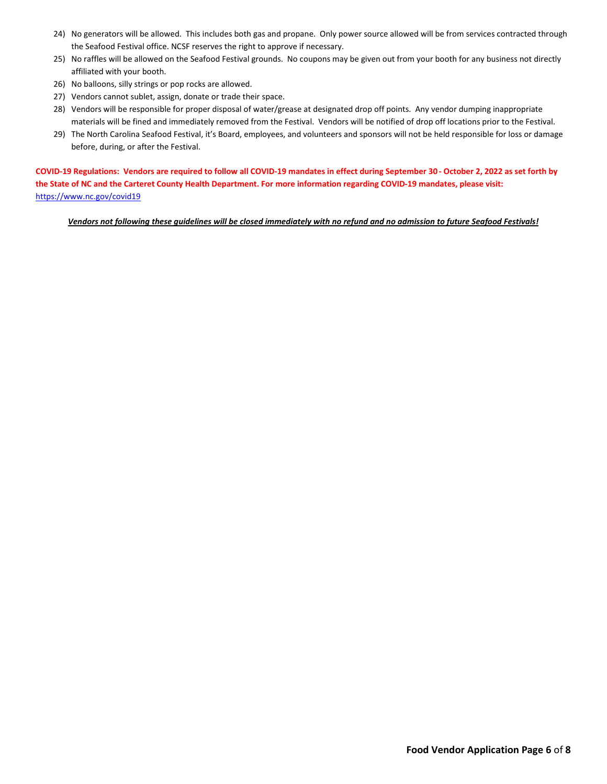- 24) No generators will be allowed. This includes both gas and propane. Only power source allowed will be from services contracted through the Seafood Festival office. NCSF reserves the right to approve if necessary.
- 25) No raffles will be allowed on the Seafood Festival grounds. No coupons may be given out from your booth for any business not directly affiliated with your booth.
- 26) No balloons, silly strings or pop rocks are allowed.
- 27) Vendors cannot sublet, assign, donate or trade their space.
- 28) Vendors will be responsible for proper disposal of water/grease at designated drop off points. Any vendor dumping inappropriate materials will be fined and immediately removed from the Festival. Vendors will be notified of drop off locations prior to the Festival.
- 29) The North Carolina Seafood Festival, it's Board, employees, and volunteers and sponsors will not be held responsible for loss or damage before, during, or after the Festival.

**COVID-19 Regulations: Vendors are required to follow all COVID-19 mandates in effect during September 30 - October 2, 2022 as set forth by the State of NC and the Carteret County Health Department. For more information regarding COVID-19 mandates, please visit:**  <https://www.nc.gov/covid19>

*Vendors not following these guidelines will be closed immediately with no refund and no admission to future Seafood Festivals!*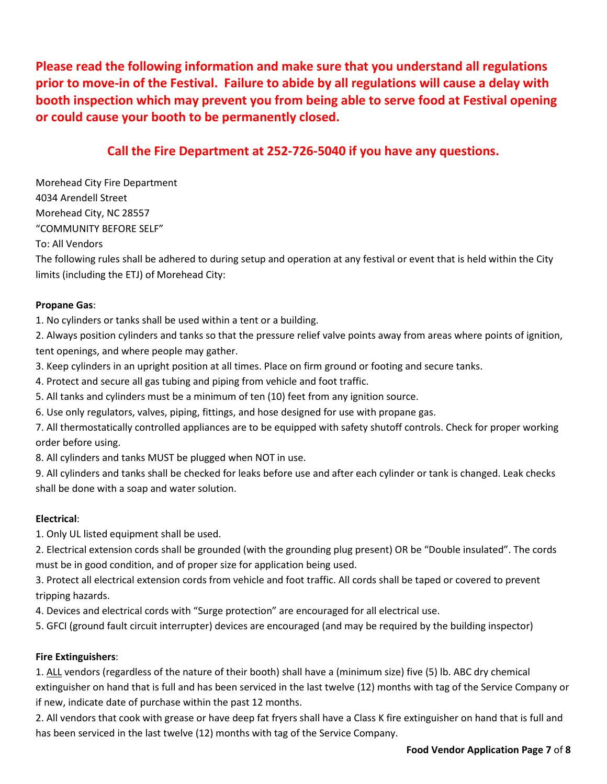**Please read the following information and make sure that you understand all regulations prior to move-in of the Festival. Failure to abide by all regulations will cause a delay with booth inspection which may prevent you from being able to serve food at Festival opening or could cause your booth to be permanently closed.** 

# **Call the Fire Department at 252-726-5040 if you have any questions.**

Morehead City Fire Department 4034 Arendell Street Morehead City, NC 28557 "COMMUNITY BEFORE SELF"

To: All Vendors

The following rules shall be adhered to during setup and operation at any festival or event that is held within the City limits (including the ETJ) of Morehead City:

### **Propane Gas**:

1. No cylinders or tanks shall be used within a tent or a building.

2. Always position cylinders and tanks so that the pressure relief valve points away from areas where points of ignition, tent openings, and where people may gather.

3. Keep cylinders in an upright position at all times. Place on firm ground or footing and secure tanks.

4. Protect and secure all gas tubing and piping from vehicle and foot traffic.

5. All tanks and cylinders must be a minimum of ten (10) feet from any ignition source.

6. Use only regulators, valves, piping, fittings, and hose designed for use with propane gas.

7. All thermostatically controlled appliances are to be equipped with safety shutoff controls. Check for proper working order before using.

8. All cylinders and tanks MUST be plugged when NOT in use.

9. All cylinders and tanks shall be checked for leaks before use and after each cylinder or tank is changed. Leak checks shall be done with a soap and water solution.

# **Electrical**:

1. Only UL listed equipment shall be used.

2. Electrical extension cords shall be grounded (with the grounding plug present) OR be "Double insulated". The cords must be in good condition, and of proper size for application being used.

3. Protect all electrical extension cords from vehicle and foot traffic. All cords shall be taped or covered to prevent tripping hazards.

4. Devices and electrical cords with "Surge protection" are encouraged for all electrical use.

5. GFCI (ground fault circuit interrupter) devices are encouraged (and may be required by the building inspector)

### **Fire Extinguishers**:

1. ALL vendors (regardless of the nature of their booth) shall have a (minimum size) five (5) lb. ABC dry chemical extinguisher on hand that is full and has been serviced in the last twelve (12) months with tag of the Service Company or if new, indicate date of purchase within the past 12 months.

2. All vendors that cook with grease or have deep fat fryers shall have a Class K fire extinguisher on hand that is full and has been serviced in the last twelve (12) months with tag of the Service Company.